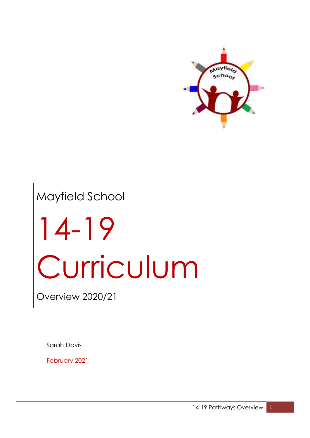

# Mayfield School 14-19 Curriculum

Overview 2020/21

Sarah Davis

February 2021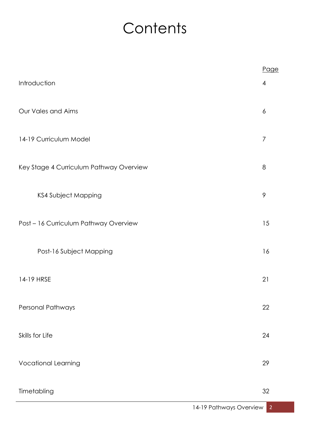### **Contents**

|                                         | Page            |
|-----------------------------------------|-----------------|
| Introduction                            | 4               |
| Our Vales and Aims                      | $\ddot{\delta}$ |
| 14-19 Curriculum Model                  | $\overline{7}$  |
| Key Stage 4 Curriculum Pathway Overview | 8               |
| <b>KS4 Subject Mapping</b>              | 9               |
| Post - 16 Curriculum Pathway Overview   | 15              |
| Post-16 Subject Mapping                 | 16              |
| 14-19 HRSE                              | 21              |
| Personal Pathways                       | 22              |
| Skills for Life                         | 24              |
| <b>Vocational Learning</b>              | 29              |
| Timetabling                             | 32              |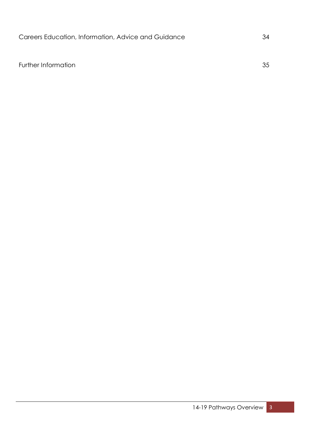Further Information 35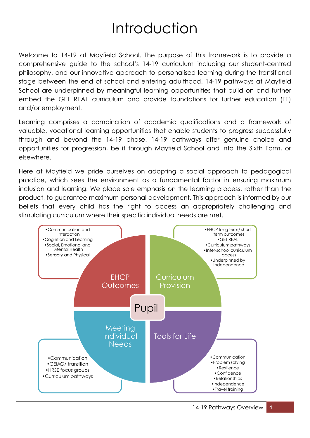### Introduction

Welcome to 14-19 at Mayfield School. The purpose of this framework is to provide a comprehensive guide to the school's 14-19 curriculum including our student-centred philosophy, and our innovative approach to personalised learning during the transitional stage between the end of school and entering adulthood. 14-19 pathways at Mayfield School are underpinned by meaningful learning opportunities that build on and further embed the GET REAL curriculum and provide foundations for further education (FE) and/or employment.

Learning comprises a combination of academic qualifications and a framework of valuable, vocational learning opportunities that enable students to progress successfully through and beyond the 14-19 phase. 14-19 pathways offer genuine choice and opportunities for progression, be it through Mayfield School and into the Sixth Form, or elsewhere.

Here at Mayfield we pride ourselves on adopting a social approach to pedagogical practice, which sees the environment as a fundamental factor in ensuring maximum inclusion and learning. We place sole emphasis on the learning process, rather than the product, to guarantee maximum personal development. This approach is informed by our beliefs that every child has the right to access an appropriately challenging and stimulating curriculum where their specific individual needs are met.

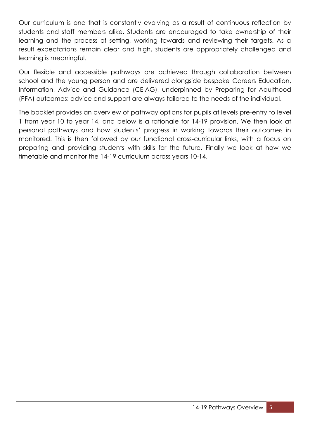Our curriculum is one that is constantly evolving as a result of continuous reflection by students and staff members alike. Students are encouraged to take ownership of their learning and the process of setting, working towards and reviewing their targets. As a result expectations remain clear and high, students are appropriately challenged and learning is meaningful.

Our flexible and accessible pathways are achieved through collaboration between school and the young person and are delivered alongside bespoke Careers Education, Information, Advice and Guidance (CEIAG), underpinned by Preparing for Adulthood (PFA) outcomes; advice and support are always tailored to the needs of the individual.

The booklet provides an overview of pathway options for pupils at levels pre-entry to level 1 from year 10 to year 14, and below is a rationale for 14-19 provision. We then look at personal pathways and how students' progress in working towards their outcomes in monitored. This is then followed by our functional cross-curricular links, with a focus on preparing and providing students with skills for the future. Finally we look at how we timetable and monitor the 14-19 curriculum across years 10-14.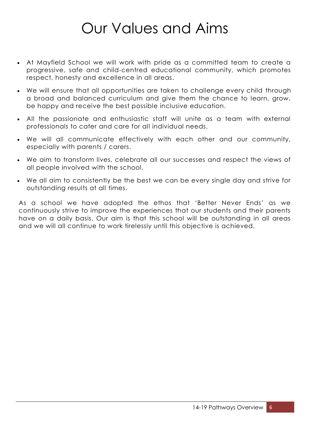### Our Values and Aims

- At Mayfield School we will work with pride as a committed team to create a progressive, safe and child-centred educational community, which promotes respect, honesty and excellence in all areas.
- We will ensure that all opportunities are taken to challenge every child through a broad and balanced curriculum and give them the chance to learn, grow, be happy and receive the best possible inclusive education.
- All the passionate and enthusiastic staff will unite as a team with external professionals to cater and care for all individual needs.
- We will all communicate effectively with each other and our community, especially with parents / carers.
- We aim to transform lives, celebrate all our successes and respect the views of all people involved with the school.
- We all aim to consistently be the best we can be every single day and strive for outstanding results at all times.

As a school we have adopted the ethos that 'Better Never Ends' as we continuously strive to improve the experiences that our students and their parents have on a daily basis. Our aim is that this school will be outstanding in all areas and we will all continue to work tirelessly until this objective is achieved.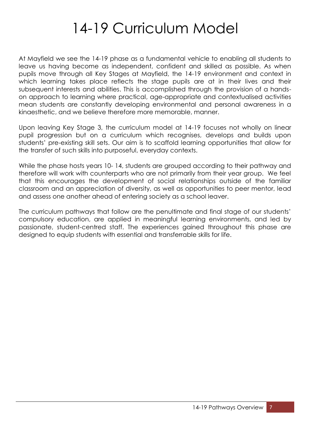### 14-19 Curriculum Model

At Mayfield we see the 14-19 phase as a fundamental vehicle to enabling all students to leave us having become as independent, confident and skilled as possible. As when pupils move through all Key Stages at Mayfield, the 14-19 environment and context in which learning takes place reflects the stage pupils are at in their lives and their subsequent interests and abilities. This is accomplished through the provision of a handson approach to learning where practical, age-appropriate and contextualised activities mean students are constantly developing environmental and personal awareness in a kinaesthetic, and we believe therefore more memorable, manner.

Upon leaving Key Stage 3, the curriculum model at 14-19 focuses not wholly on linear pupil progression but on a curriculum which recognises, develops and builds upon students' pre-existing skill sets. Our aim is to scaffold learning opportunities that allow for the transfer of such skills into purposeful, everyday contexts.

While the phase hosts years 10- 14, students are grouped according to their pathway and therefore will work with counterparts who are not primarily from their year group. We feel that this encourages the development of social relationships outside of the familiar classroom and an appreciation of diversity, as well as opportunities to peer mentor, lead and assess one another ahead of entering society as a school leaver.

The curriculum pathways that follow are the penultimate and final stage of our students' compulsory education, are applied in meaningful learning environments, and led by passionate, student-centred staff. The experiences gained throughout this phase are designed to equip students with essential and transferrable skills for life.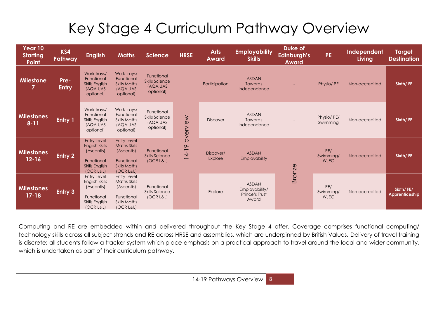### Key Stage 4 Curriculum Pathway Overview

| Year 10<br><b>Starting</b><br>Point | KS4<br>Pathway       | <b>English</b>                                                                                                | <b>Maths</b>                                                                                              | <b>Science</b>                                               | <b>HRSE</b>                                              | <b>Arts</b><br><b>Award</b> | <b>Employability</b><br><b>Skills</b>                     | Duke of<br>Edinburgh's<br><b>Award</b> | <b>PE</b>                       | Independent<br>Living | <b>Target</b><br><b>Destination</b> |
|-------------------------------------|----------------------|---------------------------------------------------------------------------------------------------------------|-----------------------------------------------------------------------------------------------------------|--------------------------------------------------------------|----------------------------------------------------------|-----------------------------|-----------------------------------------------------------|----------------------------------------|---------------------------------|-----------------------|-------------------------------------|
| <b>Milestone</b><br>7               | Pre-<br><b>Entry</b> | Work trays/<br>Functional<br><b>Skills English</b><br><b>(AQA UAS</b><br>optional)                            | Work trays/<br>Functional<br><b>Skills Maths</b><br><b>(AQA UAS</b><br>optional)                          | Functional<br><b>Skills Science</b><br>(AQA UAS<br>optional) |                                                          | Participation               | <b>ASDAN</b><br><b>Towards</b><br>Independence            |                                        | Physio/PE                       | Non-accredited        | Sixth/FE                            |
| <b>Milestones</b><br>$8 - 11$       | <b>Entry 1</b>       | Work trays/<br>Functional<br>Skills English<br>(AQA UAS<br>optional)                                          | Work trays/<br>Functional<br><b>Skills Maths</b><br>(AQA UAS<br>optional)                                 | Functional<br><b>Skills Science</b><br>(AQA UAS<br>optional) | overview                                                 | <b>Discover</b>             | <b>ASDAN</b><br>Towards<br>Independence                   |                                        | Physio/PE/<br>Swimming          | Non-accredited        | Sixth/FE                            |
| <b>Milestones</b><br>$12 - 16$      | Entry 2              | <b>Entry Level</b><br><b>English Skills</b><br>(Ascentis)<br>Functional<br><b>Skills English</b><br>(OCR L&L) | <b>Entry Level</b><br><b>Maths Skills</b><br>(Ascentis)<br>Functional<br><b>Skills Maths</b><br>(OCR L&L) | Functional<br><b>Skills Science</b><br>(OCR L&L)             | $\infty$<br>$\overline{4}$ -<br>$\overline{\phantom{0}}$ | Discover/<br>Explore        | <b>ASDAN</b><br><b>Employability</b>                      | <b>Bronze</b>                          | PE/<br>Swimming/<br><b>WJEC</b> | Non-accredited        | Sixth/FE                            |
| <b>Milestones</b><br>$17 - 18$      | Entry 3              | <b>Entry Level</b><br>English Skills<br>(Ascentis)<br>Functional<br>Skills English<br>(OCR L&L)               | <b>Entry Level</b><br><b>Maths Skills</b><br>(Ascentis)<br>Functional<br><b>Skills Maths</b><br>(OCR L&L) | Functional<br><b>Skills Science</b><br>(OCR L&L)             |                                                          | Explore                     | <b>ASDAN</b><br>Employability/<br>Prince's Trust<br>Award |                                        | PE/<br>Swimming/<br><b>WJEC</b> | Non-accredited        | Sixth/FE/<br>Apprenticeship         |

Computing and RE are embedded within and delivered throughout the Key Stage 4 offer. Coverage comprises functional computing/ technology skills across all subject strands and RE across HRSE and assemblies, which are underpinned by British Values. Delivery of travel training is discrete; all students follow a tracker system which place emphasis on a practical approach to travel around the local and wider community, which is undertaken as part of their curriculum pathway.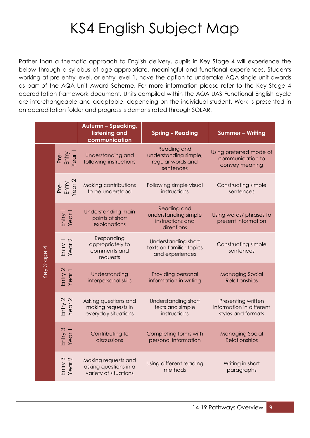### KS4 English Subject Map

Rather than a thematic approach to English delivery, pupils in Key Stage 4 will experience the below through a syllabus of age-appropriate, meaningful and functional experiences. Students working at pre-entry level, or entry level 1, have the option to undertake AQA single unit awards as part of the AQA Unit Award Scheme. For more information please refer to the Key Stage 4 accreditation framework document. Units compiled within the AQA UAS Functional English cycle are interchangeable and adaptable, depending on the individual student. Work is presented in an accreditation folder and progress is demonstrated through SOLAR.

|             |                         | <b>Autumn - Speaking,</b><br>listening and<br>communication           | <b>Spring - Reading</b>                                                      | <b>Summer - Writing</b>                                              |
|-------------|-------------------------|-----------------------------------------------------------------------|------------------------------------------------------------------------------|----------------------------------------------------------------------|
|             | Pre-<br>Entry<br>Year 1 | Understanding and<br>following instructions                           | Reading and<br>understanding simple,<br>regular words and<br>sentences       | Using preferred mode of<br>communication to<br>convey meaning        |
|             | Pre-<br>Entry<br>Year 2 | Making contributions<br>to be understood                              | Following simple visual<br>instructions                                      | Constructing simple<br>sentences                                     |
|             | Entry<br>Year 1         | Understanding main<br>points of short<br>explanations                 | <b>Reading and</b><br>understanding simple<br>instructions and<br>directions | Using words/ phrases to<br>present information                       |
|             | Entry 1<br>Year 2       | Responding<br>appropriately to<br>comments and<br>requests            | Understanding short<br>texts on familiar topics<br>and experiences           | Constructing simple<br>sentences                                     |
| Key Stage 4 | Entry 2<br>Year 1       | Understanding<br>interpersonal skills                                 | Providing personal<br>information in writing                                 | <b>Managing Social</b><br>Relationships                              |
|             | Entry 2<br>Year 2       | Asking questions and<br>making requests in<br>everyday situations     | Understanding short<br>texts and simple<br>instructions                      | Presenting written<br>information in different<br>styles and formats |
|             | Entry 3<br>Year 1       | Contributing to<br>discussions                                        | Completing forms with<br>personal information                                | <b>Managing Social</b><br><b>Relationships</b>                       |
|             | Entry 3<br>Year 2       | Making requests and<br>asking questions in a<br>variety of situations | Using different reading<br>methods                                           | Writing in short<br>paragraphs                                       |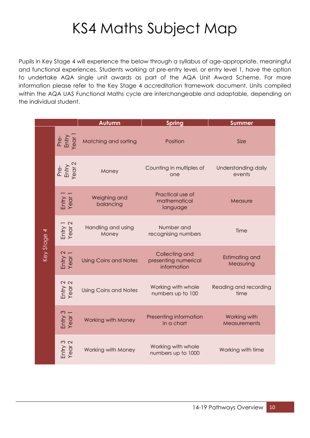### KS4 Maths Subject Map

Pupils in Key Stage 4 will experience the below through a syllabus of age-appropriate, meaningful and functional experiences. Students working at pre-entry level, or entry level 1, have the option to undertake AQA single unit awards as part of the AQA Unit Award Scheme. For more information please refer to the Key Stage 4 accreditation framework document. Units compiled within the AQA UAS Functional Maths cycle are interchangeable and adaptable, depending on the individual student.

|             |                         | Autumn                       | <b>Spring</b>                                         | <b>Summer</b>                       |
|-------------|-------------------------|------------------------------|-------------------------------------------------------|-------------------------------------|
|             | Pre-<br>Entry<br>Year 1 | Matching and sorting         | Position                                              | Size                                |
|             | Pre-<br>Entry<br>(ear 2 | Money                        | Counting in multiples of<br>one                       | Understanding daily<br>events       |
|             | Entry<br>Year           | Weighing and<br>balancing    | Practical use of<br>mathematical<br>language          | Measure                             |
|             | Entry 1<br>Year 2       | Handling and using<br>Money  | Number and<br>recognising numbers                     | Time                                |
| Key Stage 4 | Entry 2<br>Year 1       | <b>Using Coins and Notes</b> | Collecting and<br>presenting numerical<br>information | <b>Estimating and</b><br>Measuring  |
|             | Entry 2<br>Year 2       | <b>Using Coins and Notes</b> | Working with whole<br>numbers up to 100               | Reading and recording<br>time       |
|             | Entry 3<br>Year 1       | <b>Working with Money</b>    | Presenting information<br>in a chart                  | Working with<br><b>Measurements</b> |
|             | Entry 3<br>Year 2       | Working with Money           | Working with whole<br>numbers up to 1000              | Working with time                   |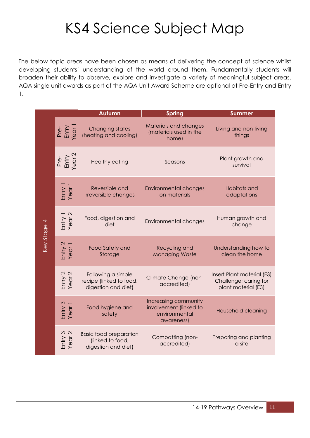### KS4 Science Subject Map

The below topic areas have been chosen as means of delivering the concept of science whilst developing students' understanding of the world around them. Fundamentally students will broaden their ability to observe, explore and investigate a variety of meaningful subject areas. AQA single unit awards as part of the AQA Unit Award Scheme are optional at Pre-Entry and Entry 1.

|             |                         | Autumn                                                                   | <b>Spring</b>                                                                 | <b>Summer</b>                                                              |
|-------------|-------------------------|--------------------------------------------------------------------------|-------------------------------------------------------------------------------|----------------------------------------------------------------------------|
|             | Pre-<br>Entry<br>Year 1 | <b>Changing states</b><br>(heating and cooling)                          | Materials and changes<br>(materials used in the<br>home)                      | Living and non-living<br>things                                            |
|             | Pre-<br>Entry<br>(ear 2 | <b>Healthy eating</b>                                                    | Seasons                                                                       | Plant growth and<br>survival                                               |
|             | Entry<br>Year           | Reversible and<br>irreversible changes                                   | <b>Environmental changes</b><br>on materials                                  | Habitats and<br>adaptations                                                |
| Key Stage 4 | Entry 1<br>Year 2       | Food, digestion and<br>diet                                              | <b>Environmental changes</b>                                                  | Human growth and<br>change                                                 |
|             | Entry 2<br>Year 1       | <b>Food Safety and</b><br>Storage                                        | Recycling and<br><b>Managing Waste</b>                                        | Understanding how to<br>clean the home                                     |
|             | Entry 2<br>Year 2       | Following a simple<br>recipe (linked to food,<br>digestion and diet)     | Climate Change (non-<br>accredited)                                           | Insert Plant material (E3)<br>Challenge; caring for<br>plant material (E3) |
|             | Entry 3<br>Year 1       | Food hygiene and<br>safety                                               | Increasing community<br>involvement (linked to<br>environmental<br>awareness) | <b>Household cleaning</b>                                                  |
|             | Entry 3<br>Year 2       | <b>Basic food preparation</b><br>(linked to food,<br>digestion and diet) | Combatting (non-<br>accredited)                                               | Preparing and planting<br>a site                                           |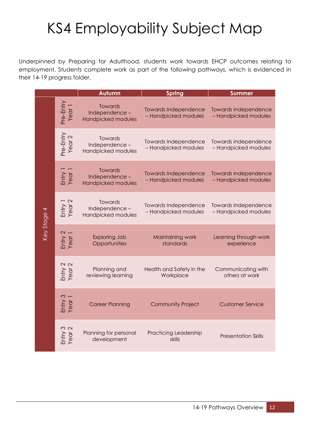## KS4 Employability Subject Map

Underpinned by Preparing for Adulthood, students work towards EHCP outcomes relating to employment. Students complete work as part of the following pathways, which is evidenced in their 14-19 progress folder.

|             |                                | Autumn                                                | <b>Spring</b>                                       | <b>Summer</b>                                       |
|-------------|--------------------------------|-------------------------------------------------------|-----------------------------------------------------|-----------------------------------------------------|
|             | Pre-Entry<br>Year 1            | <b>Towards</b><br>Independence-<br>Handpicked modules | <b>Towards Independence</b><br>- Handpicked modules | <b>Towards Independence</b><br>- Handpicked modules |
|             | Pre-Entry<br>Year 2            | Towards<br>Independence-<br>Handpicked modules        | <b>Towards Independence</b><br>- Handpicked modules | <b>Towards Independence</b><br>- Handpicked modules |
|             | Entry 1<br>Year 1              | <b>Towards</b><br>Independence-<br>Handpicked modules | <b>Towards Independence</b><br>- Handpicked modules | <b>Towards Independence</b><br>- Handpicked modules |
|             | Entry 1<br>Year 2              | Towards<br>Independence-<br>Handpicked modules        | <b>Towards Independence</b><br>- Handpicked modules | <b>Towards Independence</b><br>- Handpicked modules |
| Key Stage 4 | Entry 2<br>Year 1              | <b>Exploring Job</b><br>Opportunities                 | Maintaining work<br>standards                       | Learning through work<br>experience                 |
|             | Entry 2<br>Year 2              | Planning and<br>reviewing learning                    | Health and Safety in the<br>Workplace               | Communicating with<br>others at work                |
|             | Entry 3<br>Year 1              | <b>Career Planning</b>                                | <b>Community Project</b>                            | <b>Customer Service</b>                             |
|             | $\frac{3}{2}$<br>Entry<br>Year | Planning for personal<br>development                  | <b>Practicing Leadership</b><br>skills              | <b>Presentation Skills</b>                          |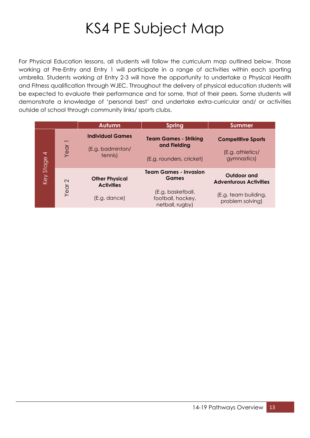### KS4 PE Subject Map

For Physical Education lessons, all students will follow the curriculum map outlined below. Those working at Pre-Entry and Entry 1 will participate in a range of activities within each sporting umbrella. Students working at Entry 2-3 will have the opportunity to undertake a Physical Health and Fitness qualification through WJEC. Throughout the delivery of physical education students will be expected to evaluate their performance and for some, that of their peers. Some students will demonstrate a knowledge of 'personal best' and undertake extra-curricular and/ or activities outside of school through community links/ sports clubs.

|                          |                           | Autumn                                                     | <b>Spring</b>                                                            | <b>Summer</b>                                                        |
|--------------------------|---------------------------|------------------------------------------------------------|--------------------------------------------------------------------------|----------------------------------------------------------------------|
| $\overline{\phantom{0}}$ | Year                      | <b>Individual Games</b><br>(E.g. badminton/<br>tennis)     | <b>Team Games - Striking</b><br>and Fielding<br>(E.g. rounders, cricket) | <b>Competitive Sports</b><br>(E.g. athletics/<br>gymnastics)         |
| Key Stage                | $\mathbf{\Omega}$<br>Year | <b>Other Physical</b><br><b>Activities</b><br>(E.g. dance) | <b>Team Games - Invasion</b><br>Games<br>(E.g. basketball,               | Outdoor and<br><b>Adventurous Activities</b><br>(E.g. team building, |
|                          |                           |                                                            | football, hockey,<br>netball, rugby)                                     | problem solving)                                                     |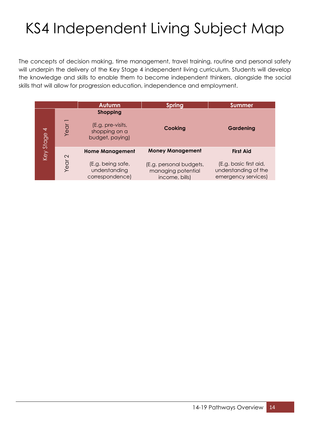# KS4 Independent Living Subject Map

The concepts of decision making, time management, travel training, routine and personal safety will underpin the delivery of the Key Stage 4 independent living curriculum. Students will develop the knowledge and skills to enable them to become independent thinkers, alongside the social skills that will allow for progression education, independence and employment.

|                          |                   | Autumn                                                                   | <b>Spring</b>                                                   | <b>Summer</b>                                                         |
|--------------------------|-------------------|--------------------------------------------------------------------------|-----------------------------------------------------------------|-----------------------------------------------------------------------|
| $\overline{\phantom{0}}$ | Year              | <b>Shopping</b><br>(E.g. pre-visits,<br>shopping on a<br>budget, paying) | Cooking                                                         | Gardening                                                             |
| Key Stage                | $\mathbf{\Omega}$ | <b>Home Management</b>                                                   | <b>Money Management</b>                                         | <b>First Aid</b>                                                      |
|                          | Year              | (E.g. being safe,<br>understanding<br>correspondence)                    | (E.g. personal budgets,<br>managing potential<br>income, bills) | (E.g. basic first aid,<br>understanding of the<br>emergency services) |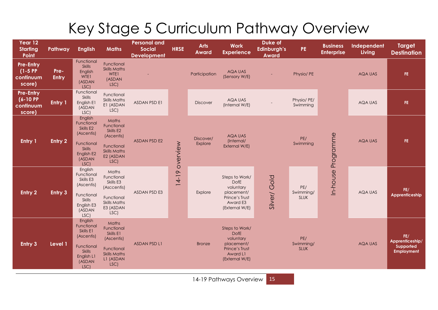### Key Stage 5 Curriculum Pathway Overview

| Year 12<br><b>Starting</b><br>Point                      | Pathway       | <b>English</b>                                                                                                  | <b>Maths</b>                                                                                              | <b>Personal and</b><br><b>Social</b><br><b>Development</b> | <b>HRSE</b> | <b>Arts</b><br>Award | <b>Work</b><br><b>Experience</b>                                                                         | Duke of<br>Edinburgh's<br><b>Award</b> | PE.                             | <b>Business</b><br><b>Enterprise</b> | Independent<br>Living | <b>Target</b><br><b>Destination</b>                      |
|----------------------------------------------------------|---------------|-----------------------------------------------------------------------------------------------------------------|-----------------------------------------------------------------------------------------------------------|------------------------------------------------------------|-------------|----------------------|----------------------------------------------------------------------------------------------------------|----------------------------------------|---------------------------------|--------------------------------------|-----------------------|----------------------------------------------------------|
| <b>Pre-Entry</b><br>$(1-5)$ PP<br>continuum<br>score)    | Pre-<br>Entry | Functional<br><b>Skills</b><br>English<br>WTE1<br>(ASDAN<br>LSC)                                                | Functional<br><b>Skills Maths</b><br>WTE1<br>(ASDAN<br>LSC)                                               |                                                            |             | Participation        | AQA UAS<br>(Sensory W/E)                                                                                 |                                        | Physio/ PE                      |                                      | AQA UAS               | FE.                                                      |
| <b>Pre-Entry</b><br>$(6 - 10)$ PP<br>continuum<br>score) | Entry 1       | Functional<br>Skills<br>English E1<br>(ASDAN<br>LSC)                                                            | Functional<br><b>Skills Maths</b><br>E1 (ASDAN<br>LSC)                                                    | <b>ASDAN PSD E1</b>                                        |             | <b>Discover</b>      | AQA UAS<br>(Internal W/E)                                                                                |                                        | Physio/ PE/<br>Swimming         |                                      | AQA UAS               | FE.                                                      |
| Entry 1                                                  | Entry 2       | English<br>Functional<br>Skills E2<br>(Ascentis)<br>Functional<br><b>Skills</b><br>English E2<br>(ASDAN<br>LSC) | Maths<br>Functional<br>Skills E2<br>(Ascentis)<br>Functional<br><b>Skills Maths</b><br>E2 (ASDAN<br>LSC)  | <b>ASDAN PSD E2</b>                                        | overview    | Discover/<br>Explore | AQA UAS<br>(Internal/<br>External W/E)                                                                   |                                        | PE/<br>Swimming                 | Programme                            | <b>AQA UAS</b>        | FE.                                                      |
| Entry <sub>2</sub>                                       | Entry 3       | English<br>Functional<br>Skills E3<br>(Ascentis)<br>Functional<br>Skills<br>English E3<br>(ASDAN<br>LSC)        | Maths<br>Functional<br>Skills E3<br>(Asccentis)<br>Functional<br><b>Skills Maths</b><br>E3 (ASDAN<br>LSC) | <b>ASDAN PSD E3</b>                                        | $14-19$     | Explore              | Steps to Work/<br>DofE<br>voluntary<br>placement/<br>Prince's Trust<br>Award E3<br>(External W/E)        | Silver/Gold                            | PE/<br>Swimming/<br>SLUK        | In-house                             | AQA UAS               | FE/<br>Apprenticeship                                    |
| Entry 3                                                  | Level 1       | English<br>Functional<br>Skills E1<br>(Ascentis)<br>Functional<br><b>Skills</b><br>English L1<br>(ASDAN<br>LSC) | Maths<br>Functional<br>Skills E1<br>(Ascentis)<br>Functional<br><b>Skills Maths</b><br>L1 (ASDAN<br>LSC)  | <b>ASDAN PSD L1</b>                                        |             | <b>Bronze</b>        | Steps to Work/<br><b>DofE</b><br>voluntary<br>placement/<br>Prince's Trust<br>Award L1<br>(External W/E) |                                        | PE/<br>Swimming/<br><b>SLUK</b> |                                      | <b>AQA UAS</b>        | FE/<br>Apprenticeship/<br>Supported<br><b>Employment</b> |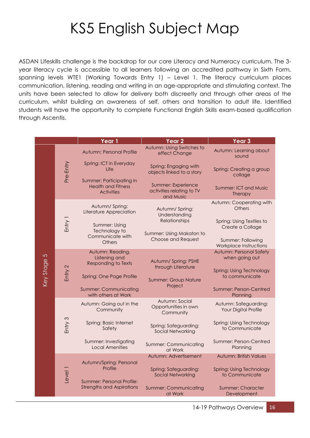### KS5 English Subject Map

ASDAN Lifeskills challenge is the backdrop for our core Literacy and Numeracy curriculum. The 3 year literacy cycle is accessible to all learners following an accredited pathway in Sixth Form, spanning levels WTE1 (Working Towards Entry 1) – Level 1. The literacy curriculum places communication, listening, reading and writing in an age-appropriate and stimulating context. The units have been selected to allow for delivery both discreetly and through other areas of the curriculum, whilst building an awareness of self, others and transition to adult life. Identified students will have the opportunity to complete Functional English Skills exam-based qualification through Ascentis.

| Autumn: Using Switches to<br>Autumn: Learning about<br>Autumn: Personal Profile<br>effect Change<br>sound<br>Pre-Entry<br>Spring: ICT in Everyday<br>Spring: Engaging with<br>Life<br>Spring: Creating a group<br>objects linked to a story<br>collage<br>Summer: Participating in<br>Summer: Experience<br><b>Health and Fitness</b><br><b>Summer: ICT and Music</b><br>activities relating to TV<br><b>Activities</b><br><b>Therapy</b><br>and Music<br>Autumn: Cooperating with<br>Autumn/ Spring:<br>Others<br>Autumn/ Spring:<br>Literature Appreciation<br>Understanding<br>Entry 1<br>Relationships<br>Spring: Using Textiles to<br>Summer: Using<br>Create a Collage<br>Technology to<br>Summer: Using Makaton to<br>Communicate with<br><b>Choose and Request</b><br>Summer: Following<br><b>Others</b><br>Workplace Instructions<br><b>Autumn: Personal Safety</b><br>Autumn: Reading,<br>Key Stage 5<br>Listening and<br>when going out<br>Autumn/ Spring: PSHE<br><b>Responding to Texts</b><br>Entry 2<br>through Literature<br><b>Spring: Using Technology</b><br>Spring: One Page Profile<br>to communicate<br><b>Summer: Group Nature</b><br>Project<br><b>Summer: Communicating</b><br><b>Summer: Person-Centred</b><br>with others at Work<br>Planning<br>Autumn: Social<br>Autumn: Going out in the<br>Autumn: Safeguarding:<br>Opportunities in own<br>Your Digital Profile<br>Community<br>Community<br>Entry 3<br>Spring: Basic Internet<br>Spring: Using Technology<br>Spring: Safeguarding:<br>Safety<br>to Communicate<br>Social Networking<br>Summer: Investigating<br>Summer: Person-Centred<br>Summer: Communicating<br><b>Local Amenities</b><br>Planning<br>at Work |  |  | Year 1 | Year <sub>2</sub>     | Year <sub>3</sub> |
|---------------------------------------------------------------------------------------------------------------------------------------------------------------------------------------------------------------------------------------------------------------------------------------------------------------------------------------------------------------------------------------------------------------------------------------------------------------------------------------------------------------------------------------------------------------------------------------------------------------------------------------------------------------------------------------------------------------------------------------------------------------------------------------------------------------------------------------------------------------------------------------------------------------------------------------------------------------------------------------------------------------------------------------------------------------------------------------------------------------------------------------------------------------------------------------------------------------------------------------------------------------------------------------------------------------------------------------------------------------------------------------------------------------------------------------------------------------------------------------------------------------------------------------------------------------------------------------------------------------------------------------------------------------------------------------------------|--|--|--------|-----------------------|-------------------|
|                                                                                                                                                                                                                                                                                                                                                                                                                                                                                                                                                                                                                                                                                                                                                                                                                                                                                                                                                                                                                                                                                                                                                                                                                                                                                                                                                                                                                                                                                                                                                                                                                                                                                                   |  |  |        |                       |                   |
|                                                                                                                                                                                                                                                                                                                                                                                                                                                                                                                                                                                                                                                                                                                                                                                                                                                                                                                                                                                                                                                                                                                                                                                                                                                                                                                                                                                                                                                                                                                                                                                                                                                                                                   |  |  |        |                       |                   |
|                                                                                                                                                                                                                                                                                                                                                                                                                                                                                                                                                                                                                                                                                                                                                                                                                                                                                                                                                                                                                                                                                                                                                                                                                                                                                                                                                                                                                                                                                                                                                                                                                                                                                                   |  |  |        |                       |                   |
|                                                                                                                                                                                                                                                                                                                                                                                                                                                                                                                                                                                                                                                                                                                                                                                                                                                                                                                                                                                                                                                                                                                                                                                                                                                                                                                                                                                                                                                                                                                                                                                                                                                                                                   |  |  |        |                       |                   |
|                                                                                                                                                                                                                                                                                                                                                                                                                                                                                                                                                                                                                                                                                                                                                                                                                                                                                                                                                                                                                                                                                                                                                                                                                                                                                                                                                                                                                                                                                                                                                                                                                                                                                                   |  |  |        |                       |                   |
|                                                                                                                                                                                                                                                                                                                                                                                                                                                                                                                                                                                                                                                                                                                                                                                                                                                                                                                                                                                                                                                                                                                                                                                                                                                                                                                                                                                                                                                                                                                                                                                                                                                                                                   |  |  |        |                       |                   |
|                                                                                                                                                                                                                                                                                                                                                                                                                                                                                                                                                                                                                                                                                                                                                                                                                                                                                                                                                                                                                                                                                                                                                                                                                                                                                                                                                                                                                                                                                                                                                                                                                                                                                                   |  |  |        |                       |                   |
|                                                                                                                                                                                                                                                                                                                                                                                                                                                                                                                                                                                                                                                                                                                                                                                                                                                                                                                                                                                                                                                                                                                                                                                                                                                                                                                                                                                                                                                                                                                                                                                                                                                                                                   |  |  |        |                       |                   |
|                                                                                                                                                                                                                                                                                                                                                                                                                                                                                                                                                                                                                                                                                                                                                                                                                                                                                                                                                                                                                                                                                                                                                                                                                                                                                                                                                                                                                                                                                                                                                                                                                                                                                                   |  |  |        |                       |                   |
|                                                                                                                                                                                                                                                                                                                                                                                                                                                                                                                                                                                                                                                                                                                                                                                                                                                                                                                                                                                                                                                                                                                                                                                                                                                                                                                                                                                                                                                                                                                                                                                                                                                                                                   |  |  |        |                       |                   |
|                                                                                                                                                                                                                                                                                                                                                                                                                                                                                                                                                                                                                                                                                                                                                                                                                                                                                                                                                                                                                                                                                                                                                                                                                                                                                                                                                                                                                                                                                                                                                                                                                                                                                                   |  |  |        |                       |                   |
|                                                                                                                                                                                                                                                                                                                                                                                                                                                                                                                                                                                                                                                                                                                                                                                                                                                                                                                                                                                                                                                                                                                                                                                                                                                                                                                                                                                                                                                                                                                                                                                                                                                                                                   |  |  |        |                       |                   |
| <b>Autumn: British Values</b>                                                                                                                                                                                                                                                                                                                                                                                                                                                                                                                                                                                                                                                                                                                                                                                                                                                                                                                                                                                                                                                                                                                                                                                                                                                                                                                                                                                                                                                                                                                                                                                                                                                                     |  |  |        | Autumn: Advertisement |                   |
| Autumn/Spring: Personal<br>Profile<br>Level <sub>1</sub><br>Spring: Safeguarding:<br><b>Spring: Using Technology</b><br><b>Social Networking</b><br>to Communicate<br><b>Summer: Personal Profile:</b>                                                                                                                                                                                                                                                                                                                                                                                                                                                                                                                                                                                                                                                                                                                                                                                                                                                                                                                                                                                                                                                                                                                                                                                                                                                                                                                                                                                                                                                                                            |  |  |        |                       |                   |
| <b>Strengths and Aspirations</b><br><b>Summer: Communicating</b><br><b>Summer: Character</b><br>at Work<br>Development                                                                                                                                                                                                                                                                                                                                                                                                                                                                                                                                                                                                                                                                                                                                                                                                                                                                                                                                                                                                                                                                                                                                                                                                                                                                                                                                                                                                                                                                                                                                                                            |  |  |        |                       |                   |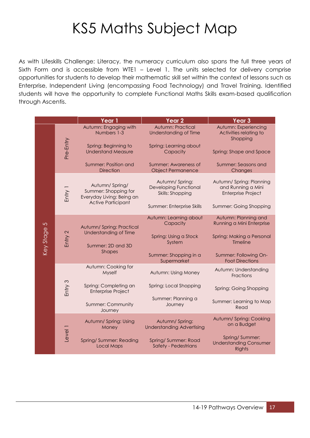### KS5 Maths Subject Map

As with Lifeskills Challenge: Literacy, the numeracy curriculum also spans the full three years of Sixth Form and is accessible from WTE1 – Level 1. The units selected for delivery comprise opportunities for students to develop their mathematic skill set within the context of lessons such as Enterprise, Independent Living (encompassing Food Technology) and Travel Training. Identified students will have the opportunity to complete Functional Maths Skills exam-based qualification through Ascentis.

|                             |           | Year 1                                                                                           | Year <sub>2</sub>                                                  | Year <sub>3</sub>                                                          |
|-----------------------------|-----------|--------------------------------------------------------------------------------------------------|--------------------------------------------------------------------|----------------------------------------------------------------------------|
|                             |           | Autumn: Engaging with<br>Numbers 1-3                                                             | Autumn: Practical<br>Understanding of Time                         | Autumn: Experiencing<br>Activities relating to<br>Shopping                 |
|                             | Pre-Entry | Spring: Beginning to<br><b>Understand Measure</b>                                                | Spring: Learning about<br>Capacity                                 | Spring: Shape and Space                                                    |
|                             |           | Summer: Position and<br><b>Direction</b>                                                         | Summer: Awareness of<br><b>Object Permanence</b>                   | <b>Summer: Seasons and</b><br>Changes                                      |
|                             | Entry 1   | Autumn/Spring/<br>Summer: Shopping for<br>Everyday Living: Being an<br><b>Active Participant</b> | Autumn/Spring:<br><b>Developing Functional</b><br>Skills: Shopping | Autumn/Spring: Planning<br>and Running a Mini<br><b>Enterprise Project</b> |
|                             |           |                                                                                                  | Summer: Enterprise Skills                                          | Summer: Going Shopping                                                     |
| $\overline{C}$<br>Key Stage | Entry 2   | Autumn/Spring: Practical<br>Understanding of Time                                                | Autumn: Learning about<br>Capacity                                 | Autumn: Planning and<br>Running a Mini Enterprise                          |
|                             |           | Summer: 2D and 3D                                                                                | Spring: Using a Stock<br>System                                    | Spring: Making a Personal<br>Timeline                                      |
|                             |           | <b>Shapes</b>                                                                                    | Summer: Shopping in a<br>Supermarket                               | Summer: Following On-<br><b>Foot Directions</b>                            |
|                             |           | Autumn: Cooking for<br>Myself                                                                    | Autumn: Using Money                                                | Autumn: Understanding<br>Fractions                                         |
|                             | Entry 3   | Spring: Completing an<br><b>Enterprise Project</b>                                               | Spring: Local Shopping                                             | Spring: Going Shopping                                                     |
|                             |           | Summer: Community<br>Journey                                                                     | Summer: Planning a<br>Journey                                      | Summer: Learning to Map<br>Read                                            |
|                             |           | Autumn/ Spring: Using<br>Money                                                                   | Autumn/Spring:<br><b>Understanding Advertising</b>                 | Autumn/Spring: Cooking<br>on a Budget                                      |
|                             | Level 1   | Spring/Summer: Reading<br><b>Local Maps</b>                                                      | Spring/Summer: Road<br>Safety - Pedestrians                        | Spring/Summer:<br><b>Understanding Consumer</b><br><b>Rights</b>           |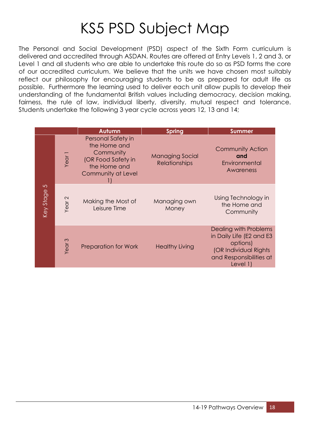### KS5 PSD Subject Map

The Personal and Social Development (PSD) aspect of the Sixth Form curriculum is delivered and accredited through ASDAN. Routes are offered at Entry Levels 1, 2 and 3, or Level 1 and all students who are able to undertake this route do so as PSD forms the core of our accredited curriculum. We believe that the units we have chosen most suitably reflect our philosophy for encouraging students to be as prepared for adult life as possible. Furthermore the learning used to deliver each unit allow pupils to develop their understanding of the fundamental British values including democracy, decision making, fairness, the rule of law, individual liberty, diversity, mutual respect and tolerance. Students undertake the following 3 year cycle across years 12, 13 and 14;

|             |                   | Autumn                                                                                                      | <b>Spring</b>                                  | <b>Summer</b>                                                                                                                   |
|-------------|-------------------|-------------------------------------------------------------------------------------------------------------|------------------------------------------------|---------------------------------------------------------------------------------------------------------------------------------|
|             | Year <sub>1</sub> | Personal Safety in<br>the Home and<br>Community<br>(OR Food Safety in<br>the Home and<br>Community at Level | <b>Managing Social</b><br><b>Relationships</b> | <b>Community Action</b><br>and<br>Environmental<br>Awareness                                                                    |
| Key Stage 5 | Year <sub>2</sub> | Making the Most of<br>Leisure Time                                                                          | Managing own<br>Money                          | Using Technology in<br>the Home and<br>Community                                                                                |
|             | Year <sub>3</sub> | <b>Preparation for Work</b>                                                                                 | <b>Healthy Living</b>                          | Dealing with Problems<br>in Daily Life (E2 and E3<br>options)<br>(OR Individual Rights<br>and Responsibilities at<br>Level $1)$ |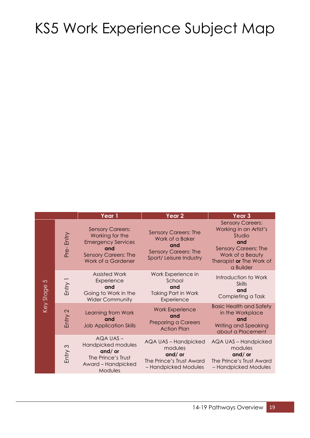### KS5 Work Experience Subject Map

|                             |                   | Year 1                                                                                                                              | Year 2                                                                                                          | Year <sub>3</sub>                                                                                                                                              |
|-----------------------------|-------------------|-------------------------------------------------------------------------------------------------------------------------------------|-----------------------------------------------------------------------------------------------------------------|----------------------------------------------------------------------------------------------------------------------------------------------------------------|
| $\mathfrak{S}$<br>Key Stage | Entry<br>Pre-     | <b>Sensory Careers:</b><br>Working for the<br><b>Emergency Services</b><br>and<br><b>Sensory Careers: The</b><br>Work of a Gardener | <b>Sensory Careers: The</b><br>Work of a Baker<br>and<br><b>Sensory Careers: The</b><br>Sport/ Leisure Industry | <b>Sensory Careers:</b><br>Working in an Artist's<br>Studio<br>and<br><b>Sensory Careers: The</b><br>Work of a Beauty<br>Therapist or The Work of<br>a Builder |
|                             | Entry 1           | <b>Assisted Work</b><br>Experience<br>and<br>Going to Work in the<br><b>Wider Community</b>                                         | Work Experience in<br>School<br>and<br><b>Taking Part in Work</b><br>Experience                                 | Introduction to Work<br><b>Skills</b><br>and<br>Completing a Task                                                                                              |
|                             | Entry 2           | Learning from Work<br>and<br><b>Job Application Skills</b>                                                                          | <b>Work Experience</b><br>and<br><b>Preparing a Careers</b><br><b>Action Plan</b>                               | <b>Basic Health and Safety</b><br>in the Workplace<br>and<br><b>Writing and Speaking</b><br>about a Placement                                                  |
|                             | $\infty$<br>Entry | AQA UAS-<br>Handpicked modules<br>and/or<br>The Prince's Trust<br>Award - Handpicked<br>Modules                                     | AQA UAS - Handpicked<br>modules<br>and/or<br>The Prince's Trust Award<br>- Handpicked Modules                   | AQA UAS - Handpicked<br>modules<br>and/or<br>The Prince's Trust Award<br>- Handpicked Modules                                                                  |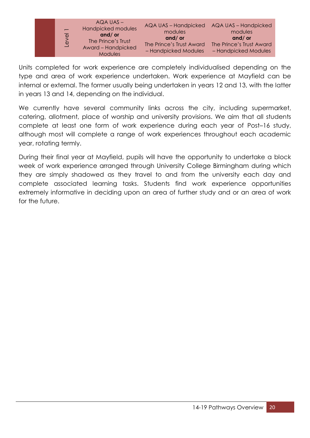

Units completed for work experience are completely individualised depending on the type and area of work experience undertaken. Work experience at Mayfield can be internal or external. The former usually being undertaken in years 12 and 13, with the latter in years 13 and 14, depending on the individual.

We currently have several community links across the city, including supermarket, catering, allotment, place of worship and university provisions. We aim that all students complete at least one form of work experience during each year of Post–16 study, although most will complete a range of work experiences throughout each academic year, rotating termly.

During their final year at Mayfield, pupils will have the opportunity to undertake a block week of work experience arranged through University College Birmingham during which they are simply shadowed as they travel to and from the university each day and complete associated learning tasks. Students find work experience opportunities extremely informative in deciding upon an area of further study and or an area of work for the future.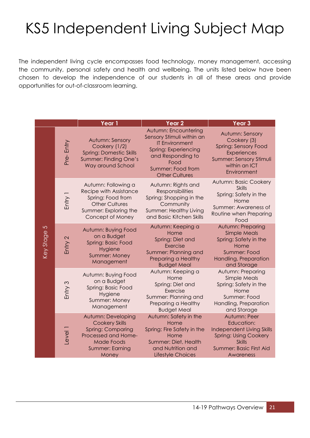### KS5 Independent Living Subject Map

The independent living cycle encompasses food technology, money management, accessing the community, personal safety and health and wellbeing. The units listed below have been chosen to develop the independence of our students in all of these areas and provide opportunities for out-of-classroom learning.

|                         |              | Year <sub>1</sub>                                                                                                                               | Year <sub>2</sub>                                                                                                                                                             | Year <sub>3</sub>                                                                                                                                |
|-------------------------|--------------|-------------------------------------------------------------------------------------------------------------------------------------------------|-------------------------------------------------------------------------------------------------------------------------------------------------------------------------------|--------------------------------------------------------------------------------------------------------------------------------------------------|
| $\sqrt{2}$<br>Key Stage | Pre-Entry    | Autumn: Sensory<br>Cookery (1/2)<br><b>Spring: Domestic Skills</b><br><b>Summer: Finding One's</b><br>Way around School                         | Autumn: Encountering<br>Sensory Stimuli within an<br><b>IT Environment</b><br>Spring: Experiencing<br>and Responding to<br>Food<br>Summer: Food from<br><b>Other Cultures</b> | Autumn: Sensory<br>Cookery (3)<br>Spring: Sensory Food<br>Experiences<br>Summer: Sensory Stimuli<br>within an ICT<br>Environment                 |
|                         | Entry 1      | Autumn: Following a<br>Recipe with Assistance<br>Spring: Food from<br><b>Other Cultures</b><br>Summer: Exploring the<br>Concept of Money        | Autumn: Rights and<br><b>Responsibilities</b><br>Spring: Shopping in the<br>Community<br>Summer: Healthy Living<br>and Basic Kitchen Skills                                   | Autumn: Basic Cookery<br><b>Skills</b><br>Spring: Safety in the<br>Home<br>Summer: Awareness of<br>Routine when Preparing<br>Food                |
|                         | Entry 2      | Autumn: Buying Food<br>on a Budget<br>Spring: Basic Food<br>Hygiene<br>Summer: Money<br>Management                                              | Autumn: Keeping a<br>Home<br>Spring: Diet and<br>Exercise<br>Summer: Planning and<br>Preparing a Healthy<br><b>Budget Meal</b>                                                | Autumn: Preparing<br><b>Simple Meals</b><br>Spring: Safety in the<br>Home<br>Summer: Food<br>Handling, Preparation<br>and Storage                |
|                         | Entry 3      | Autumn: Buying Food<br>on a Budget<br>Spring: Basic Food<br>Hygiene<br>Summer: Money<br>Management                                              | Autumn: Keeping a<br>Home<br>Spring: Diet and<br>Exercise<br>Summer: Planning and<br>Preparing a Healthy<br><b>Budget Meal</b>                                                | Autumn: Preparing<br>Simple Meals<br>Spring: Safety in the<br>Home<br>Summer: Food<br>Handling, Preparation<br>and Storage                       |
|                         | <b>Jevel</b> | Autumn: Developing<br><b>Cookery Skills</b><br><b>Spring: Comparing</b><br>Processed and Home-<br><b>Made Foods</b><br>Summer: Earning<br>Money | Autumn: Safety in the<br>Home<br>Spring: Fire Safety in the<br>Home<br>Summer: Diet, Health<br>and Nutrition and<br>Lifestyle Choices                                         | Autumn: Peer<br>Education:<br>Independent Living Skills<br><b>Spring: Using Cookery</b><br><b>Skills</b><br>Summer: Basic First Aid<br>Awareness |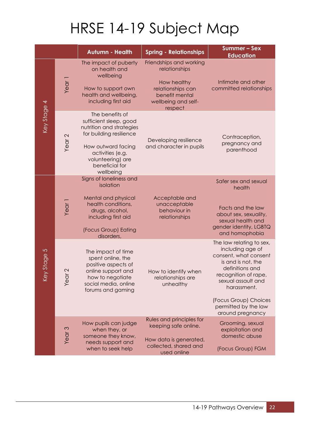# HRSE 14-19 Subject Map

|             |                           | <b>Autumn - Health</b>                                                                                                                                                                         | <b>Spring - Relationships</b>                                                                                                    | <b>Summer-Sex</b><br><b>Education</b>                                                                                                                                                                                                            |
|-------------|---------------------------|------------------------------------------------------------------------------------------------------------------------------------------------------------------------------------------------|----------------------------------------------------------------------------------------------------------------------------------|--------------------------------------------------------------------------------------------------------------------------------------------------------------------------------------------------------------------------------------------------|
| Key Stage 4 | Year <sub>1</sub>         | The impact of puberty<br>on health and<br>wellbeing<br>How to support own<br>health and wellbeing,<br>including first aid                                                                      | Friendships and working<br>relationships<br>How healthy<br>relationships can<br>benefit mental<br>wellbeing and self-<br>respect | Intimate and other<br>committed relationships                                                                                                                                                                                                    |
|             | Year <sub>2</sub>         | The benefits of<br>sufficient sleep, good<br>nutrition and strategies<br>for building resilience<br>How outward facing<br>activities (e.g.<br>volunteering) are<br>beneficial for<br>wellbeing | Developing resilience<br>and character in pupils                                                                                 | Contraception,<br>pregnancy and<br>parenthood                                                                                                                                                                                                    |
| Key Stage 5 | Year <sub>1</sub>         | Signs of loneliness and<br>isolation<br>Mental and physical<br>health conditions,<br>drugs, alcohol,<br>including first aid<br>(Focus Group) Eating<br>disorders,                              | Acceptable and<br>unacceptable<br>behaviour in<br>relationships                                                                  | Safer sex and sexual<br>health<br>Facts and the law<br>about sex, sexuality,<br>sexual health and<br>gender identity, LGBTQ<br>and homophobia                                                                                                    |
|             | $\scriptstyle\sim$<br>Yea | The impact of time<br>spent online, the<br>positive aspects of<br>online support and<br>how to negotiate<br>social media, online<br>forums and gaming                                          | How to identify when<br>relationships are<br>unhealthy                                                                           | The law relating to sex,<br>including age of<br>consent, what consent<br>is and is not, the<br>definitions and<br>recognition of rape,<br>sexual assault and<br>harassment.<br>(Focus Group) Choices<br>permitted by the law<br>around pregnancy |
|             | Year <sub>3</sub>         | How pupils can judge<br>when they, or<br>someone they know,<br>needs support and<br>when to seek help                                                                                          | Rules and principles for<br>keeping safe online.<br>How data is generated,<br>collected, shared and<br>used online               | Grooming, sexual<br>exploitation and<br>domestic abuse<br>(Focus Group) FGM                                                                                                                                                                      |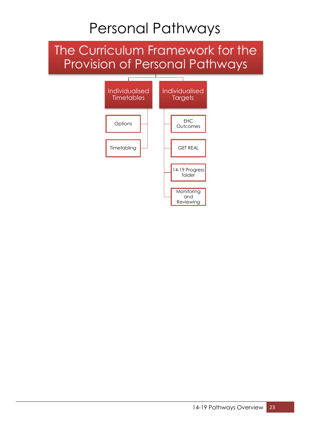### Personal Pathways

### The Curriculum Framework for the Provision of Personal Pathways

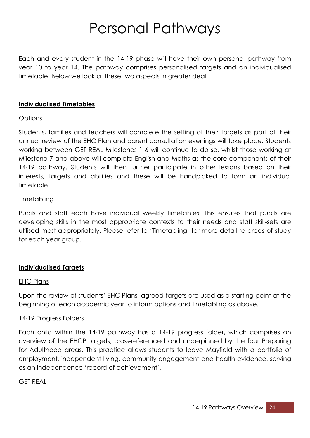### Personal Pathways

Each and every student in the 14-19 phase will have their own personal pathway from year 10 to year 14. The pathway comprises personalised targets and an individualised timetable. Below we look at these two aspects in greater deal.

#### **Individualised Timetables**

#### **Options**

Students, families and teachers will complete the setting of their targets as part of their annual review of the EHC Plan and parent consultation evenings will take place. Students working between GET REAL Milestones 1-6 will continue to do so, whilst those working at Milestone 7 and above will complete English and Maths as the core components of their 14-19 pathway. Students will then further participate in other lessons based on their interests, targets and abilities and these will be handpicked to form an individual timetable.

#### **Timetabling**

Pupils and staff each have individual weekly timetables. This ensures that pupils are developing skills in the most appropriate contexts to their needs and staff skill-sets are utilised most appropriately. Please refer to 'Timetabling' for more detail re areas of study for each year group.

#### **Individualised Targets**

#### EHC Plans

Upon the review of students' EHC Plans, agreed targets are used as a starting point at the beginning of each academic year to inform options and timetabling as above.

#### 14-19 Progress Folders

Each child within the 14-19 pathway has a 14-19 progress folder, which comprises an overview of the EHCP targets, cross-referenced and underpinned by the four Preparing for Adulthood areas. This practice allows students to leave Mayfield with a portfolio of employment, independent living, community engagement and health evidence, serving as an independence 'record of achievement'.

#### GET REAL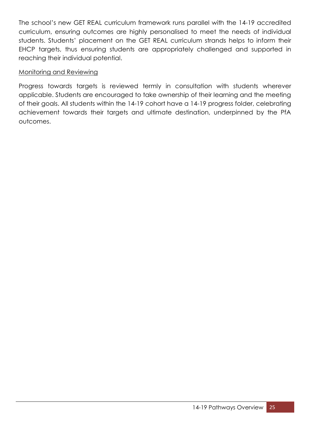The school's new GET REAL curriculum framework runs parallel with the 14-19 accredited curriculum, ensuring outcomes are highly personalised to meet the needs of individual students. Students' placement on the GET REAL curriculum strands helps to inform their EHCP targets, thus ensuring students are appropriately challenged and supported in reaching their individual potential.

#### Monitoring and Reviewing

Progress towards targets is reviewed termly in consultation with students wherever applicable. Students are encouraged to take ownership of their learning and the meeting of their goals. All students within the 14-19 cohort have a 14-19 progress folder, celebrating achievement towards their targets and ultimate destination, underpinned by the PfA outcomes.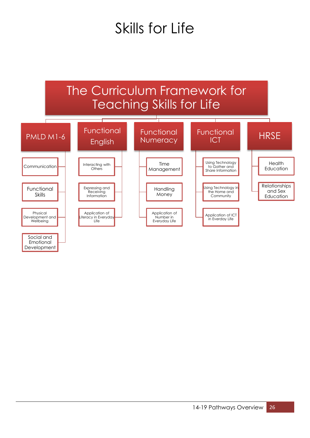### Skills for Life

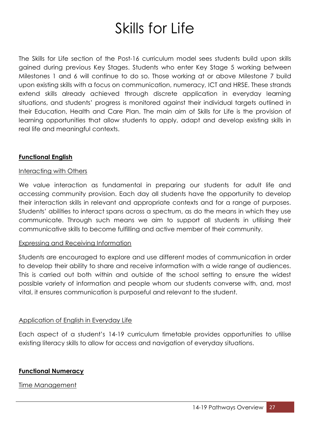### Skills for Life

The Skills for Life section of the Post-16 curriculum model sees students build upon skills gained during previous Key Stages. Students who enter Key Stage 5 working between Milestones 1 and 6 will continue to do so. Those working at or above Milestone 7 build upon existing skills with a focus on communication, numeracy, ICT and HRSE. These strands extend skills already achieved through discrete application in everyday learning situations, and students' progress is monitored against their individual targets outlined in their Education, Health and Care Plan. The main aim of Skills for Life is the provision of learning opportunities that allow students to apply, adapt and develop existing skills in real life and meaningful contexts.

#### **Functional English**

#### Interacting with Others

We value interaction as fundamental in preparing our students for adult life and accessing community provision. Each day all students have the opportunity to develop their interaction skills in relevant and appropriate contexts and for a range of purposes. Students' abilities to interact spans across a spectrum, as do the means in which they use communicate. Through such means we aim to support all students in utilising their communicative skills to become fulfilling and active member of their community.

#### Expressing and Receiving Information

Students are encouraged to explore and use different modes of communication in order to develop their ability to share and receive information with a wide range of audiences. This is carried out both within and outside of the school setting to ensure the widest possible variety of information and people whom our students converse with, and, most vital, it ensures communication is purposeful and relevant to the student.

#### Application of English in Everyday Life

Each aspect of a student's 14-19 curriculum timetable provides opportunities to utilise existing literacy skills to allow for access and navigation of everyday situations.

#### **Functional Numeracy**

Time Management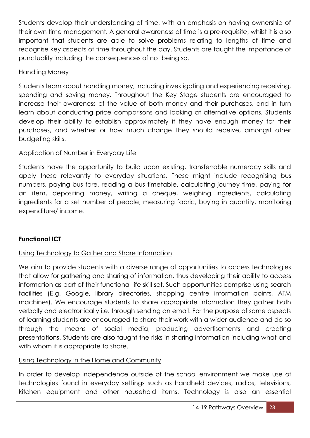Students develop their understanding of time, with an emphasis on having ownership of their own time management. A general awareness of time is a pre-requisite, whilst it is also important that students are able to solve problems relating to lengths of time and recognise key aspects of time throughout the day. Students are taught the importance of punctuality including the consequences of not being so.

#### Handling Money

Students learn about handling money, including investigating and experiencing receiving, spending and saving money. Throughout the Key Stage students are encouraged to increase their awareness of the value of both money and their purchases, and in turn learn about conducting price comparisons and looking at alternative options. Students develop their ability to establish approximately if they have enough money for their purchases, and whether or how much change they should receive, amongst other budgeting skills.

#### Application of Number in Everyday Life

Students have the opportunity to build upon existing, transferrable numeracy skills and apply these relevantly to everyday situations. These might include recognising bus numbers, paying bus fare, reading a bus timetable, calculating journey time, paying for an item, depositing money, writing a cheque, weighing ingredients, calculating ingredients for a set number of people, measuring fabric, buying in quantity, monitoring expenditure/ income.

#### **Functional ICT**

#### Using Technology to Gather and Share Information

We aim to provide students with a diverse range of opportunities to access technologies that allow for gathering and sharing of information, thus developing their ability to access information as part of their functional life skill set. Such opportunities comprise using search facilities (E.g. Google, library directories, shopping centre information points, ATM machines). We encourage students to share appropriate information they gather both verbally and electronically i.e. through sending an email. For the purpose of some aspects of learning students are encouraged to share their work with a wider audience and do so through the means of social media, producing advertisements and creating presentations. Students are also taught the risks in sharing information including what and with whom it is appropriate to share.

#### Using Technology in the Home and Community

In order to develop independence outside of the school environment we make use of technologies found in everyday settings such as handheld devices, radios, televisions, kitchen equipment and other household items. Technology is also an essential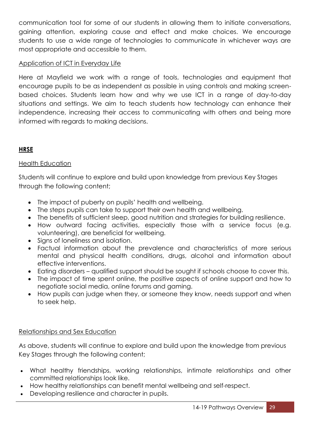communication tool for some of our students in allowing them to initiate conversations, gaining attention, exploring cause and effect and make choices. We encourage students to use a wide range of technologies to communicate in whichever ways are most appropriate and accessible to them.

#### Application of ICT in Everyday Life

Here at Mayfield we work with a range of tools, technologies and equipment that encourage pupils to be as independent as possible in using controls and making screenbased choices. Students learn how and why we use ICT in a range of day-to-day situations and settings. We aim to teach students how technology can enhance their independence, increasing their access to communicating with others and being more informed with regards to making decisions.

#### **HRSE**

#### Health Education

Students will continue to explore and build upon knowledge from previous Key Stages through the following content;

- The impact of puberty on pupils' health and wellbeing.
- The steps pupils can take to support their own health and wellbeing.
- The benefits of sufficient sleep, good nutrition and strategies for building resilience.
- How outward facing activities, especially those with a service focus (e.g. volunteering), are beneficial for wellbeing.
- Signs of loneliness and isolation.
- Factual information about the prevalence and characteristics of more serious mental and physical health conditions, drugs, alcohol and information about effective interventions.
- Eating disorders qualified support should be sought if schools choose to cover this.
- The impact of time spent online, the positive aspects of online support and how to negotiate social media, online forums and gaming.
- How pupils can judge when they, or someone they know, needs support and when to seek help.

#### Relationships and Sex Education

As above, students will continue to explore and build upon the knowledge from previous Key Stages through the following content;

- What healthy friendships, working relationships, intimate relationships and other committed relationships look like.
- How healthy relationships can benefit mental wellbeing and self-respect.
- Developing resilience and character in pupils.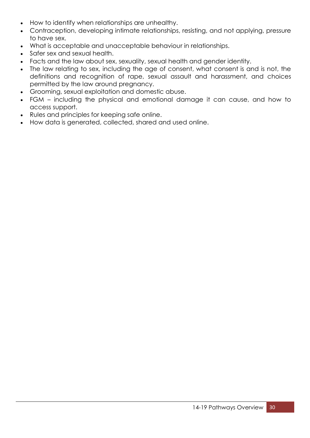- How to identify when relationships are unhealthy.
- Contraception, developing intimate relationships, resisting, and not applying, pressure to have sex.
- What is acceptable and unacceptable behaviour in relationships.
- Safer sex and sexual health.
- Facts and the law about sex, sexuality, sexual health and gender identity.
- The law relating to sex, including the age of consent, what consent is and is not, the definitions and recognition of rape, sexual assault and harassment, and choices permitted by the law around pregnancy.
- Grooming, sexual exploitation and domestic abuse.
- FGM including the physical and emotional damage it can cause, and how to access support.
- Rules and principles for keeping safe online.
- How data is generated, collected, shared and used online.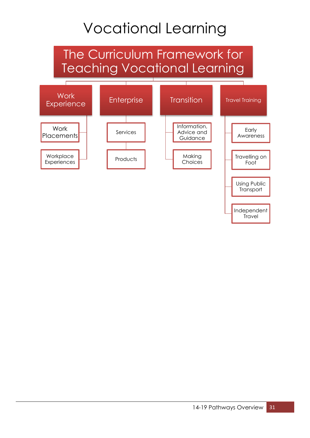### Vocational Learning

### The Curriculum Framework for Teaching Vocational Learning

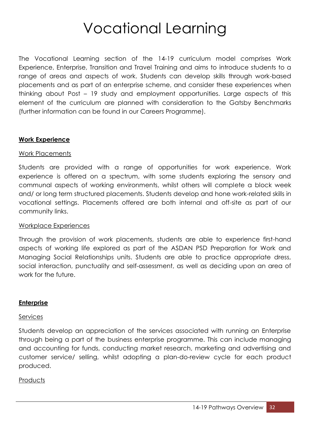### Vocational Learning

The Vocational Learning section of the 14-19 curriculum model comprises Work Experience, Enterprise, Transition and Travel Training and aims to introduce students to a range of areas and aspects of work. Students can develop skills through work-based placements and as part of an enterprise scheme, and consider these experiences when thinking about Post – 19 study and employment opportunities. Large aspects of this element of the curriculum are planned with consideration to the Gatsby Benchmarks (further information can be found in our Careers Programme).

#### **Work Experience**

#### Work Placements

Students are provided with a range of opportunities for work experience. Work experience is offered on a spectrum, with some students exploring the sensory and communal aspects of working environments, whilst others will complete a block week and/ or long term structured placements. Students develop and hone work-related skills in vocational settings. Placements offered are both internal and off-site as part of our community links.

#### Workplace Experiences

Through the provision of work placements, students are able to experience first-hand aspects of working life explored as part of the ASDAN PSD Preparation for Work and Managing Social Relationships units. Students are able to practice appropriate dress, social interaction, punctuality and self-assessment, as well as deciding upon an area of work for the future.

#### **Enterprise**

#### **Services**

Students develop an appreciation of the services associated with running an Enterprise through being a part of the business enterprise programme. This can include managing and accounting for funds, conducting market research, marketing and advertising and customer service/ selling, whilst adopting a plan-do-review cycle for each product produced.

#### **Products**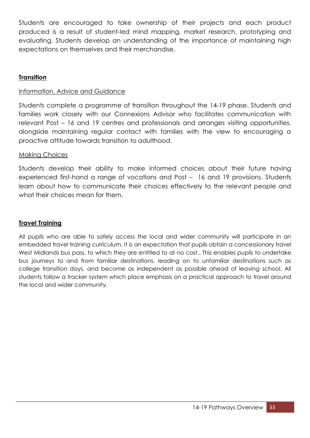Students are encouraged to take ownership of their projects and each product produced is a result of student-led mind mapping, market research, prototyping and evaluating. Students develop an understanding of the importance of maintaining high expectations on themselves and their merchandise.

#### **Transition**

#### Information, Advice and Guidance

Students complete a programme of transition throughout the 14-19 phase. Students and families work closely with our Connexions Advisor who facilitates communication with relevant Post – 16 and 19 centres and professionals and arranges visiting opportunities, alongside maintaining regular contact with families with the view to encouraging a proactive attitude towards transition to adulthood.

#### Making Choices

Students develop their ability to make informed choices about their future having experienced first-hand a range of vocations and Post – 16 and 19 provisions. Students learn about how to communicate their choices effectively to the relevant people and what their choices mean for them.

#### **Travel Training**

All pupils who are able to safely access the local and wider community will participate in an embedded travel training curriculum. It is an expectation that pupils obtain a concessionary travel West Midlands bus pass, to which they are entitled to at no cost.. This enables pupils to undertake bus journeys to and from familiar destinations, leading on to unfamiliar destinations such as college transition days, and become as independent as possible ahead of leaving school. All students follow a tracker system which place emphasis on a practical approach to travel around the local and wider community.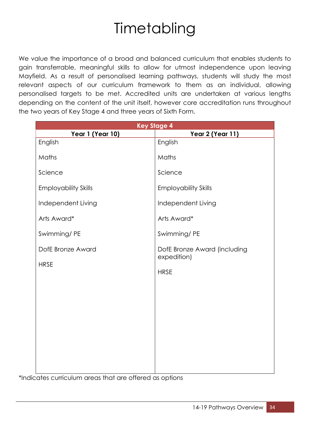### **Timetabling**

We value the importance of a broad and balanced curriculum that enables students to gain transferrable, meaningful skills to allow for utmost independence upon leaving Mayfield. As a result of personalised learning pathways, students will study the most relevant aspects of our curriculum framework to them as an individual, allowing personalised targets to be met. Accredited units are undertaken at various lengths depending on the content of the unit itself, however core accreditation runs throughout the two years of Key Stage 4 and three years of Sixth Form.

|                             | <b>Key Stage 4</b>                          |
|-----------------------------|---------------------------------------------|
| Year 1 (Year 10)            | Year 2 (Year 11)                            |
| English                     | English                                     |
| Maths                       | Maths                                       |
| Science                     | Science                                     |
| <b>Employability Skills</b> | <b>Employability Skills</b>                 |
| Independent Living          | Independent Living                          |
| Arts Award*                 | Arts Award*                                 |
| Swimming/PE                 | Swimming/PE                                 |
| DofE Bronze Award           | DofE Bronze Award (including<br>expedition) |
| <b>HRSE</b>                 | <b>HRSE</b>                                 |
|                             |                                             |
|                             |                                             |
|                             |                                             |
|                             |                                             |
|                             |                                             |
|                             |                                             |
|                             |                                             |

\*Indicates curriculum areas that are offered as options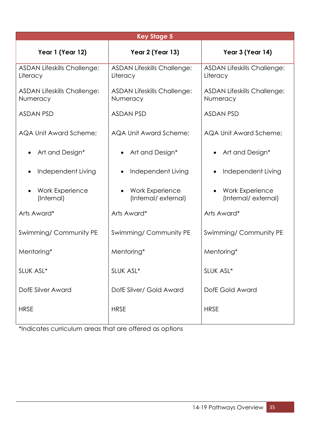| <b>Key Stage 5</b>                             |                                                |                                                |  |  |
|------------------------------------------------|------------------------------------------------|------------------------------------------------|--|--|
| Year 1 (Year 12)                               | Year 2 (Year 13)                               | Year 3 (Year 14)                               |  |  |
| <b>ASDAN Lifeskills Challenge:</b><br>Literacy | <b>ASDAN Lifeskills Challenge:</b><br>Literacy | <b>ASDAN Lifeskills Challenge:</b><br>Literacy |  |  |
| <b>ASDAN Lifeskills Challenge:</b><br>Numeracy | <b>ASDAN Lifeskills Challenge:</b><br>Numeracy | <b>ASDAN Lifeskills Challenge:</b><br>Numeracy |  |  |
| <b>ASDAN PSD</b>                               | <b>ASDAN PSD</b>                               | <b>ASDAN PSD</b>                               |  |  |
| AQA Unit Award Scheme;                         | AQA Unit Award Scheme;                         | AQA Unit Award Scheme;                         |  |  |
| Art and Design*                                | Art and Design*                                | Art and Design*                                |  |  |
| Independent Living                             | Independent Living                             | Independent Living                             |  |  |
| <b>Work Experience</b><br>(Internal)           | <b>Work Experience</b><br>(Internal/external)  | Work Experience<br>(Internal/external)         |  |  |
| Arts Award*                                    | Arts Award*                                    | Arts Award*                                    |  |  |
| Swimming/Community PE                          | Swimming/Community PE                          | Swimming/Community PE                          |  |  |
| Mentoring*                                     | Mentoring*                                     | Mentoring*                                     |  |  |
| SLUK ASL*                                      | SLUK ASL*                                      | SLUK ASL*                                      |  |  |
| DofE Silver Award                              | DofE Silver/ Gold Award                        | DofE Gold Award                                |  |  |
| <b>HRSE</b>                                    | <b>HRSE</b>                                    | <b>HRSE</b>                                    |  |  |

\*Indicates curriculum areas that are offered as options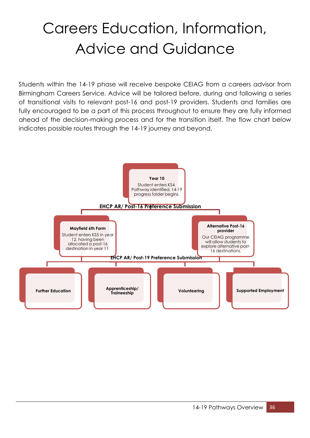### Careers Education, Information, Advice and Guidance

Students within the 14-19 phase will receive bespoke CEIAG from a careers advisor from Birmingham Careers Service. Advice will be tailored before, during and following a series of transitional visits to relevant post-16 and post-19 providers. Students and families are fully encouraged to be a part of this process throughout to ensure they are fully informed ahead of the decision-making process and for the transition itself. The flow chart below indicates possible routes through the 14-19 journey and beyond.